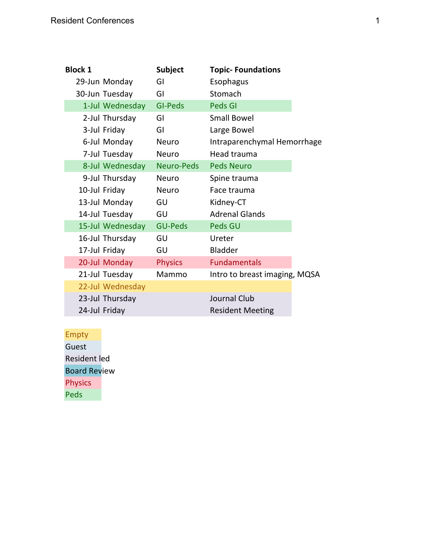| <b>Block 1</b>   | <b>Subject</b>    | <b>Topic-Foundations</b>      |
|------------------|-------------------|-------------------------------|
| 29-Jun Monday    | GI                | Esophagus                     |
| 30-Jun Tuesday   | GI                | Stomach                       |
| 1-Jul Wednesday  | <b>GI-Peds</b>    | <b>Peds GI</b>                |
| 2-Jul Thursday   | GI                | <b>Small Bowel</b>            |
| 3-Jul Friday     | GI                | Large Bowel                   |
| 6-Jul Monday     | Neuro             | Intraparenchymal Hemorrhage   |
| 7-Jul Tuesday    | Neuro             | Head trauma                   |
| 8-Jul Wednesday  | <b>Neuro-Peds</b> | <b>Peds Neuro</b>             |
| 9-Jul Thursday   | <b>Neuro</b>      | Spine trauma                  |
| 10-Jul Friday    | <b>Neuro</b>      | Face trauma                   |
| 13-Jul Monday    | GU                | Kidney-CT                     |
| 14-Jul Tuesday   | GU                | <b>Adrenal Glands</b>         |
| 15-Jul Wednesday | <b>GU-Peds</b>    | Peds GU                       |
| 16-Jul Thursday  | GU                | Ureter                        |
| 17-Jul Friday    | GU                | <b>Bladder</b>                |
| 20-Jul Monday    | <b>Physics</b>    | <b>Fundamentals</b>           |
| 21-Jul Tuesday   | Mammo             | Intro to breast imaging, MQSA |
| 22-Jul Wednesday |                   |                               |
| 23-Jul Thursday  |                   | Journal Club                  |
| 24-Jul Friday    |                   | <b>Resident Meeting</b>       |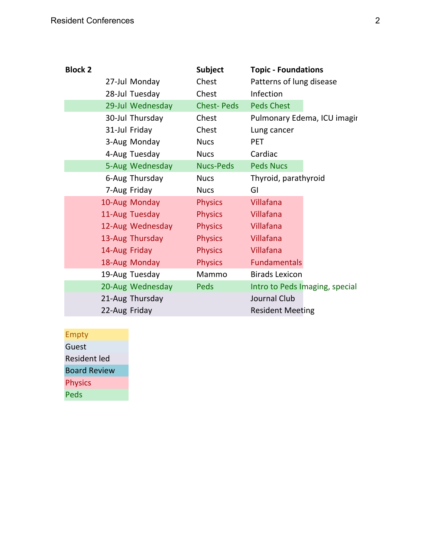| <b>Subject</b>    | <b>Topic - Foundations</b>     |
|-------------------|--------------------------------|
| Chest             | Patterns of lung disease       |
| Chest             | Infection                      |
| <b>Chest-Peds</b> | <b>Peds Chest</b>              |
| Chest             | Pulmonary Edema, ICU imagir    |
| Chest             | Lung cancer                    |
| <b>Nucs</b>       | <b>PET</b>                     |
| <b>Nucs</b>       | Cardiac                        |
| <b>Nucs-Peds</b>  | <b>Peds Nucs</b>               |
| <b>Nucs</b>       | Thyroid, parathyroid           |
| <b>Nucs</b>       | GI                             |
| <b>Physics</b>    | Villafana                      |
| <b>Physics</b>    | Villafana                      |
| <b>Physics</b>    | Villafana                      |
| <b>Physics</b>    | Villafana                      |
| <b>Physics</b>    | Villafana                      |
| <b>Physics</b>    | <b>Fundamentals</b>            |
| Mammo             | <b>Birads Lexicon</b>          |
| Peds              | Intro to Peds Imaging, special |
|                   | Journal Club                   |
|                   | <b>Resident Meeting</b>        |
|                   |                                |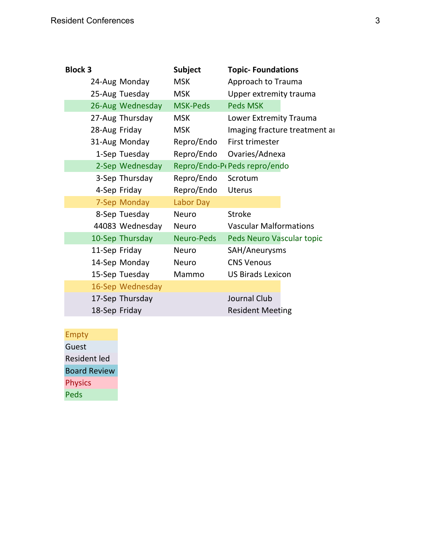| <b>Block 3</b>   | <b>Subject</b>  | <b>Topic-Foundations</b>      |
|------------------|-----------------|-------------------------------|
| 24-Aug Monday    | <b>MSK</b>      | Approach to Trauma            |
| 25-Aug Tuesday   | <b>MSK</b>      | Upper extremity trauma        |
| 26-Aug Wednesday | <b>MSK-Peds</b> | <b>Peds MSK</b>               |
| 27-Aug Thursday  | <b>MSK</b>      | Lower Extremity Trauma        |
| 28-Aug Friday    | <b>MSK</b>      | Imaging fracture treatment ar |
| 31-Aug Monday    | Repro/Endo      | First trimester               |
| 1-Sep Tuesday    | Repro/Endo      | Ovaries/Adnexa                |
| 2-Sep Wednesday  |                 | Repro/Endo-P(Peds repro/endo  |
| 3-Sep Thursday   | Repro/Endo      | Scrotum                       |
| 4-Sep Friday     | Repro/Endo      | <b>Uterus</b>                 |
| 7-Sep Monday     | Labor Day       |                               |
| 8-Sep Tuesday    | <b>Neuro</b>    | <b>Stroke</b>                 |
| 44083 Wednesday  | Neuro           | <b>Vascular Malformations</b> |
| 10-Sep Thursday  | Neuro-Peds      | Peds Neuro Vascular topic     |
| 11-Sep Friday    | <b>Neuro</b>    | SAH/Aneurysms                 |
| 14-Sep Monday    | <b>Neuro</b>    | <b>CNS Venous</b>             |
| 15-Sep Tuesday   | Mammo           | <b>US Birads Lexicon</b>      |
| 16-Sep Wednesday |                 |                               |
| 17-Sep Thursday  |                 | Journal Club                  |
| 18-Sep Friday    |                 | <b>Resident Meeting</b>       |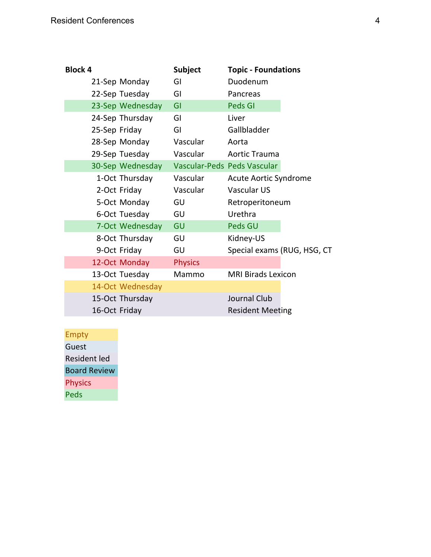| <b>Block 4</b> |               |                  | <b>Subject</b> | <b>Topic - Foundations</b>  |  |
|----------------|---------------|------------------|----------------|-----------------------------|--|
|                |               | 21-Sep Monday    | GI             | Duodenum                    |  |
|                |               | 22-Sep Tuesday   | GI             | Pancreas                    |  |
|                |               | 23-Sep Wednesday | GI             | <b>Peds GI</b>              |  |
|                |               | 24-Sep Thursday  | GI             | Liver                       |  |
|                | 25-Sep Friday |                  | GI             | Gallbladder                 |  |
|                |               | 28-Sep Monday    | Vascular       | Aorta                       |  |
|                |               | 29-Sep Tuesday   | Vascular       | <b>Aortic Trauma</b>        |  |
|                |               | 30-Sep Wednesday |                | Vascular-Peds Peds Vascular |  |
|                |               | 1-Oct Thursday   | Vascular       | Acute Aortic Syndrome       |  |
|                |               | 2-Oct Friday     | Vascular       | <b>Vascular US</b>          |  |
|                |               | 5-Oct Monday     | GU             | Retroperitoneum             |  |
|                |               | 6-Oct Tuesday    | GU             | Urethra                     |  |
|                |               | 7-Oct Wednesday  | GU             | Peds GU                     |  |
|                |               | 8-Oct Thursday   | GU             | Kidney-US                   |  |
|                |               | 9-Oct Friday     | GU             | Special exams (RUG, HSG, CT |  |
|                |               | 12-Oct Monday    | <b>Physics</b> |                             |  |
|                |               | 13-Oct Tuesday   | Mammo          | <b>MRI Birads Lexicon</b>   |  |
|                |               | 14-Oct Wednesday |                |                             |  |
|                |               | 15-Oct Thursday  |                | Journal Club                |  |
|                | 16-Oct Friday |                  |                | <b>Resident Meeting</b>     |  |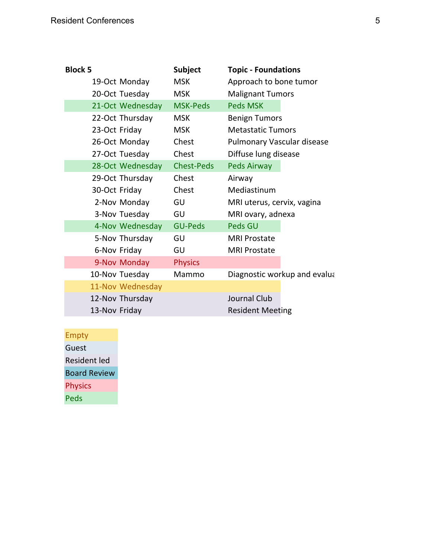| <b>Block 5</b>   | <b>Subject</b>    | <b>Topic - Foundations</b>   |
|------------------|-------------------|------------------------------|
| 19-Oct Monday    | <b>MSK</b>        | Approach to bone tumor       |
| 20-Oct Tuesday   | <b>MSK</b>        | <b>Malignant Tumors</b>      |
| 21-Oct Wednesday | <b>MSK-Peds</b>   | <b>Peds MSK</b>              |
| 22-Oct Thursday  | <b>MSK</b>        | <b>Benign Tumors</b>         |
| 23-Oct Friday    | <b>MSK</b>        | <b>Metastatic Tumors</b>     |
| 26-Oct Monday    | Chest             | Pulmonary Vascular disease   |
| 27-Oct Tuesday   | Chest             | Diffuse lung disease         |
| 28-Oct Wednesday | <b>Chest-Peds</b> | <b>Peds Airway</b>           |
| 29-Oct Thursday  | Chest             | Airway                       |
| 30-Oct Friday    | Chest             | Mediastinum                  |
| 2-Nov Monday     | GU                | MRI uterus, cervix, vagina   |
| 3-Nov Tuesday    | GU                | MRI ovary, adnexa            |
| 4-Nov Wednesday  | <b>GU-Peds</b>    | Peds GU                      |
| 5-Nov Thursday   | GU                | <b>MRI Prostate</b>          |
| 6-Nov Friday     | GU                | <b>MRI Prostate</b>          |
| 9-Nov Monday     | <b>Physics</b>    |                              |
| 10-Nov Tuesday   | Mammo             | Diagnostic workup and evalua |
| 11-Nov Wednesday |                   |                              |
| 12-Nov Thursday  |                   | Journal Club                 |
| 13-Nov Friday    |                   | <b>Resident Meeting</b>      |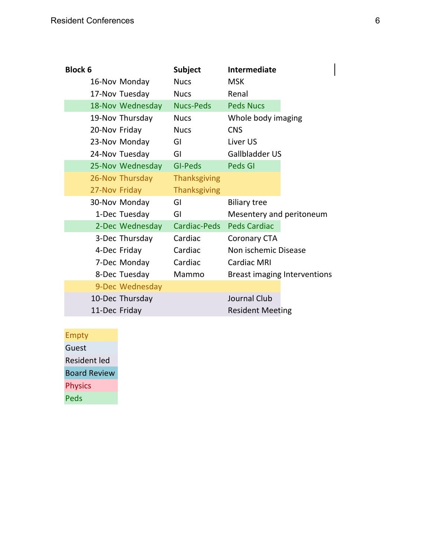| <b>Block 6</b>   | <b>Subject</b>      | <b>Intermediate</b>      |                              |
|------------------|---------------------|--------------------------|------------------------------|
| 16-Nov Monday    | <b>Nucs</b>         | <b>MSK</b>               |                              |
| 17-Nov Tuesday   | <b>Nucs</b>         | Renal                    |                              |
| 18-Nov Wednesday | <b>Nucs-Peds</b>    | <b>Peds Nucs</b>         |                              |
| 19-Nov Thursday  | <b>Nucs</b>         | Whole body imaging       |                              |
| 20-Nov Friday    | <b>Nucs</b>         | <b>CNS</b>               |                              |
| 23-Nov Monday    | GI                  | Liver US                 |                              |
| 24-Nov Tuesday   | GI                  | Gallbladder US           |                              |
| 25-Nov Wednesday | GI-Peds             | <b>Peds GI</b>           |                              |
| 26-Nov Thursday  | <b>Thanksgiving</b> |                          |                              |
| 27-Nov Friday    | <b>Thanksgiving</b> |                          |                              |
| 30-Nov Monday    | GI                  | <b>Biliary tree</b>      |                              |
| 1-Dec Tuesday    | GI                  | Mesentery and peritoneum |                              |
| 2-Dec Wednesday  | Cardiac-Peds        | <b>Peds Cardiac</b>      |                              |
| 3-Dec Thursday   | Cardiac             | <b>Coronary CTA</b>      |                              |
| 4-Dec Friday     | Cardiac             | Non ischemic Disease     |                              |
| 7-Dec Monday     | Cardiac             | <b>Cardiac MRI</b>       |                              |
| 8-Dec Tuesday    | Mammo               |                          | Breast imaging Interventions |
| 9-Dec Wednesday  |                     |                          |                              |
| 10-Dec Thursday  |                     | Journal Club             |                              |
| 11-Dec Friday    |                     | <b>Resident Meeting</b>  |                              |

Empty Guest Resident led Board Review Physics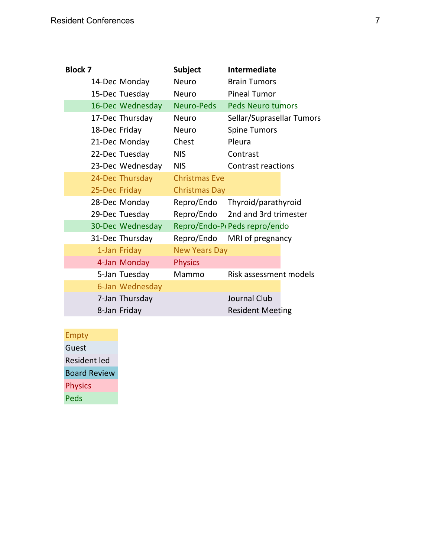| <b>Block 7</b>   | <b>Subject</b>       | <b>Intermediate</b>                       |
|------------------|----------------------|-------------------------------------------|
| 14-Dec Monday    | <b>Neuro</b>         | <b>Brain Tumors</b>                       |
| 15-Dec Tuesday   | <b>Neuro</b>         | <b>Pineal Tumor</b>                       |
| 16-Dec Wednesday | <b>Neuro-Peds</b>    | <b>Peds Neuro tumors</b>                  |
| 17-Dec Thursday  | <b>Neuro</b>         | Sellar/Suprasellar Tumors                 |
| 18-Dec Friday    | <b>Neuro</b>         | <b>Spine Tumors</b>                       |
| 21-Dec Monday    | Chest                | Pleura                                    |
| 22-Dec Tuesday   | <b>NIS</b>           | Contrast                                  |
| 23-Dec Wednesday | <b>NIS</b>           | <b>Contrast reactions</b>                 |
| 24-Dec Thursday  | <b>Christmas Eve</b> |                                           |
| 25-Dec Friday    | <b>Christmas Day</b> |                                           |
| 28-Dec Monday    | Repro/Endo           | Thyroid/parathyroid                       |
| 29-Dec Tuesday   |                      | Repro/Endo 2nd and 3rd trimester          |
| 30-Dec Wednesday |                      | Repro/Endo-P <sub>f</sub> Peds repro/endo |
| 31-Dec Thursday  | Repro/Endo           | MRI of pregnancy                          |
| 1-Jan Friday     | <b>New Years Day</b> |                                           |
| 4-Jan Monday     | <b>Physics</b>       |                                           |
| 5-Jan Tuesday    | Mammo                | Risk assessment models                    |
| 6-Jan Wednesday  |                      |                                           |
| 7-Jan Thursday   |                      | Journal Club                              |
| 8-Jan Friday     |                      | <b>Resident Meeting</b>                   |
|                  |                      |                                           |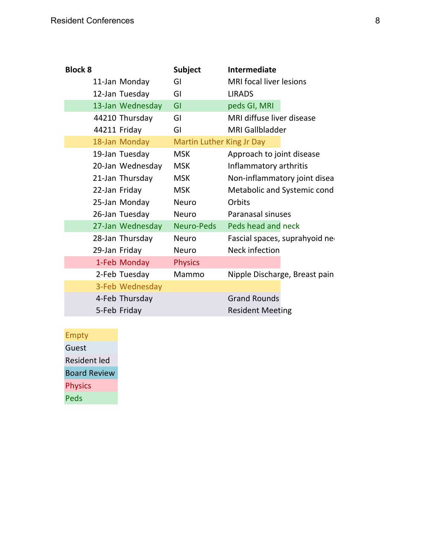| <b>Block 8</b>   | <b>Subject</b>                   | <b>Intermediate</b>            |
|------------------|----------------------------------|--------------------------------|
| 11-Jan Monday    | GI                               | <b>MRI</b> focal liver lesions |
| 12-Jan Tuesday   | GI                               | <b>LIRADS</b>                  |
| 13-Jan Wednesday | GI                               | peds GI, MRI                   |
| 44210 Thursday   | GI                               | MRI diffuse liver disease      |
| 44211 Friday     | GI                               | <b>MRI Gallbladder</b>         |
| 18-Jan Monday    | <b>Martin Luther King Jr Day</b> |                                |
| 19-Jan Tuesday   | <b>MSK</b>                       | Approach to joint disease      |
| 20-Jan Wednesday | <b>MSK</b>                       | Inflammatory arthritis         |
| 21-Jan Thursday  | <b>MSK</b>                       | Non-inflammatory joint disea   |
| 22-Jan Friday    | <b>MSK</b>                       | Metabolic and Systemic cond    |
| 25-Jan Monday    | Neuro                            | Orbits                         |
| 26-Jan Tuesday   | <b>Neuro</b>                     | Paranasal sinuses              |
| 27-Jan Wednesday | <b>Neuro-Peds</b>                | Peds head and neck             |
| 28-Jan Thursday  | <b>Neuro</b>                     | Fascial spaces, suprahyoid ned |
| 29-Jan Friday    | Neuro                            | Neck infection                 |
| 1-Feb Monday     | <b>Physics</b>                   |                                |
| 2-Feb Tuesday    | Mammo                            | Nipple Discharge, Breast pain  |
| 3-Feb Wednesday  |                                  |                                |
| 4-Feb Thursday   |                                  | <b>Grand Rounds</b>            |
| 5-Feb Friday     |                                  | <b>Resident Meeting</b>        |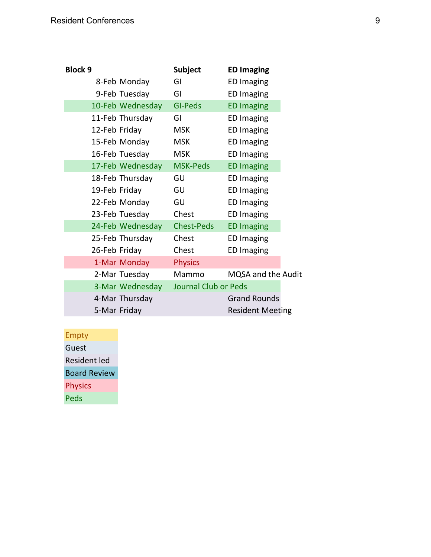| <b>Block 9</b>   | <b>Subject</b>              | <b>ED Imaging</b>       |
|------------------|-----------------------------|-------------------------|
| 8-Feb Monday     | GI                          | <b>ED Imaging</b>       |
| 9-Feb Tuesday    | GI                          | <b>ED Imaging</b>       |
| 10-Feb Wednesday | <b>GI-Peds</b>              | <b>ED Imaging</b>       |
| 11-Feb Thursday  | GI                          | <b>ED Imaging</b>       |
| 12-Feb Friday    | <b>MSK</b>                  | <b>ED Imaging</b>       |
| 15-Feb Monday    | <b>MSK</b>                  | <b>ED Imaging</b>       |
| 16-Feb Tuesday   | <b>MSK</b>                  | <b>ED Imaging</b>       |
| 17-Feb Wednesday | <b>MSK-Peds</b>             | <b>ED Imaging</b>       |
| 18-Feb Thursday  | GU                          | <b>ED Imaging</b>       |
| 19-Feb Friday    | GU                          | <b>ED Imaging</b>       |
| 22-Feb Monday    | GU                          | <b>ED Imaging</b>       |
| 23-Feb Tuesday   | Chest                       | <b>ED Imaging</b>       |
| 24-Feb Wednesday | <b>Chest-Peds</b>           | <b>ED Imaging</b>       |
| 25-Feb Thursday  | Chest                       | <b>ED Imaging</b>       |
| 26-Feb Friday    | Chest                       | <b>ED Imaging</b>       |
| 1-Mar Monday     | <b>Physics</b>              |                         |
| 2-Mar Tuesday    | Mammo                       | MQSA and the Audit      |
| 3-Mar Wednesday  | <b>Journal Club or Peds</b> |                         |
| 4-Mar Thursday   |                             | <b>Grand Rounds</b>     |
| 5-Mar Friday     |                             | <b>Resident Meeting</b> |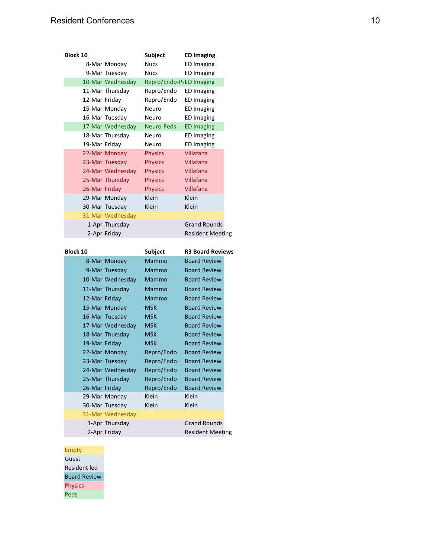| <b>Block 10</b> |                  | Subject                 | <b>ED Imaging</b>       |  |
|-----------------|------------------|-------------------------|-------------------------|--|
|                 | 8-Mar Monday     | <b>Nucs</b>             | <b>ED Imaging</b>       |  |
|                 | 9-Mar Tuesday    | <b>Nucs</b>             | <b>ED Imaging</b>       |  |
|                 | 10-Mar Wednesday | Repro/Endo-P(ED Imaging |                         |  |
|                 | 11-Mar Thursday  | Repro/Endo              | ED Imaging              |  |
| 12-Mar Friday   |                  | Repro/Endo              | <b>ED Imaging</b>       |  |
|                 | 15-Mar Monday    | Neuro                   | <b>ED Imaging</b>       |  |
|                 | 16-Mar Tuesday   | Neuro                   | <b>ED Imaging</b>       |  |
|                 | 17-Mar Wednesday | Neuro-Peds              | <b>ED Imaging</b>       |  |
|                 | 18-Mar Thursday  | Neuro                   | <b>ED Imaging</b>       |  |
| 19-Mar Friday   |                  | Neuro                   | <b>ED Imaging</b>       |  |
|                 | 22-Mar Monday    | <b>Physics</b>          | Villafana               |  |
|                 | 23-Mar Tuesday   | <b>Physics</b>          | Villafana               |  |
|                 | 24-Mar Wednesday | <b>Physics</b>          | Villafana               |  |
|                 | 25-Mar Thursday  | <b>Physics</b>          | Villafana               |  |
| 26-Mar Friday   |                  | <b>Physics</b>          | Villafana               |  |
|                 | 29-Mar Monday    | Klein                   | Klein                   |  |
|                 | 30-Mar Tuesday   | Klein                   | Klein                   |  |
|                 | 31-Mar Wednesdav |                         |                         |  |
|                 | 1-Apr Thursday   |                         | <b>Grand Rounds</b>     |  |
|                 | 2-Apr Friday     |                         | <b>Resident Meeting</b> |  |
|                 |                  |                         |                         |  |
|                 |                  |                         |                         |  |
| <b>Block 10</b> |                  | Subject                 | <b>R3 Board Reviews</b> |  |
|                 | 8-Mar Monday     | <b>Mammo</b>            | <b>Board Review</b>     |  |
|                 | 9-Mar Tuesday    | Mammo                   | <b>Board Review</b>     |  |
|                 | 10-Mar Wednesday | Mammo                   | <b>Board Review</b>     |  |
|                 | 11-Mar Thursday  | Mammo                   | <b>Board Review</b>     |  |
| 12-Mar Friday   |                  | Mammo                   | <b>Board Review</b>     |  |
|                 | 15-Mar Monday    | <b>MSK</b>              | <b>Board Review</b>     |  |
|                 | 16-Mar Tuesday   | MSK                     | <b>Board Review</b>     |  |
|                 | 17-Mar Wednesday | MSK                     | <b>Board Review</b>     |  |
|                 | 18-Mar Thursday  | <b>MSK</b>              | <b>Board Review</b>     |  |
| 19-Mar Friday   |                  | MSK                     | <b>Board Review</b>     |  |
|                 | 22-Mar Monday    | Repro/Endo              | <b>Board Review</b>     |  |
|                 | 23-Mar Tuesdav   | Repro/Endo              | <b>Board Review</b>     |  |
|                 | 24-Mar Wednesday | Repro/Endo              | <b>Board Review</b>     |  |
|                 | 25-Mar Thursday  | Repro/Endo              | <b>Board Review</b>     |  |
| 26-Mar Friday   |                  | Repro/Endo              | <b>Board Review</b>     |  |
|                 | 29-Mar Monday    | Klein                   | Klein                   |  |
|                 | 30-Mar Tuesday   | Klein                   | Klein                   |  |
|                 | 31-Mar Wednesday |                         | <b>Grand Rounds</b>     |  |

2-Apr Friday Resident Meeting

#### Empty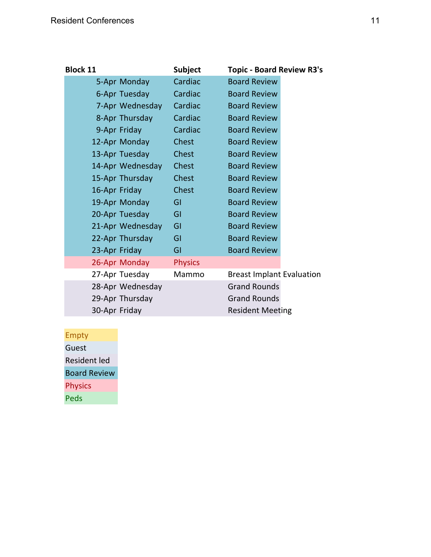| <b>Block 11</b>  | <b>Subject</b> | <b>Topic - Board Review R3's</b> |
|------------------|----------------|----------------------------------|
| 5-Apr Monday     | Cardiac        | <b>Board Review</b>              |
| 6-Apr Tuesday    | Cardiac        | <b>Board Review</b>              |
| 7-Apr Wednesday  | Cardiac        | <b>Board Review</b>              |
| 8-Apr Thursday   | Cardiac        | <b>Board Review</b>              |
| 9-Apr Friday     | Cardiac        | <b>Board Review</b>              |
| 12-Apr Monday    | Chest          | <b>Board Review</b>              |
| 13-Apr Tuesday   | Chest          | <b>Board Review</b>              |
| 14-Apr Wednesday | Chest          | <b>Board Review</b>              |
| 15-Apr Thursday  | Chest          | <b>Board Review</b>              |
| 16-Apr Friday    | <b>Chest</b>   | <b>Board Review</b>              |
| 19-Apr Monday    | GI             | <b>Board Review</b>              |
| 20-Apr Tuesday   | GI             | <b>Board Review</b>              |
| 21-Apr Wednesday | GI             | <b>Board Review</b>              |
| 22-Apr Thursday  | GI             | <b>Board Review</b>              |
| 23-Apr Friday    | GI             | <b>Board Review</b>              |
| 26-Apr Monday    | <b>Physics</b> |                                  |
| 27-Apr Tuesday   | Mammo          | <b>Breast Implant Evaluation</b> |
| 28-Apr Wednesday |                | <b>Grand Rounds</b>              |
| 29-Apr Thursday  |                | <b>Grand Rounds</b>              |
| 30-Apr Friday    |                | <b>Resident Meeting</b>          |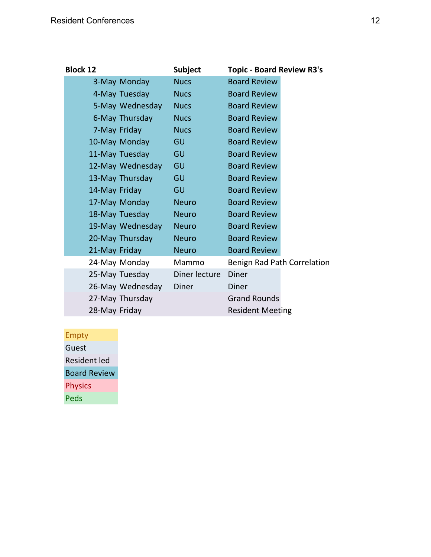| <b>Block 12</b>  | <b>Subject</b> | <b>Topic - Board Review R3's</b> |
|------------------|----------------|----------------------------------|
| 3-May Monday     | <b>Nucs</b>    | <b>Board Review</b>              |
| 4-May Tuesday    | <b>Nucs</b>    | <b>Board Review</b>              |
| 5-May Wednesday  | <b>Nucs</b>    | <b>Board Review</b>              |
| 6-May Thursday   | <b>Nucs</b>    | <b>Board Review</b>              |
| 7-May Friday     | <b>Nucs</b>    | <b>Board Review</b>              |
| 10-May Monday    | GU             | <b>Board Review</b>              |
| 11-May Tuesday   | GU             | <b>Board Review</b>              |
| 12-May Wednesday | GU             | <b>Board Review</b>              |
| 13-May Thursday  | GU             | <b>Board Review</b>              |
| 14-May Friday    | GU             | <b>Board Review</b>              |
| 17-May Monday    | <b>Neuro</b>   | <b>Board Review</b>              |
| 18-May Tuesday   | <b>Neuro</b>   | <b>Board Review</b>              |
| 19-May Wednesday | <b>Neuro</b>   | <b>Board Review</b>              |
| 20-May Thursday  | <b>Neuro</b>   | <b>Board Review</b>              |
| 21-May Friday    | <b>Neuro</b>   | <b>Board Review</b>              |
| 24-May Monday    | Mammo          | Benign Rad Path Correlation      |
| 25-May Tuesday   | Diner lecture  | <b>Diner</b>                     |
| 26-May Wednesday | <b>Diner</b>   | <b>Diner</b>                     |
| 27-May Thursday  |                | <b>Grand Rounds</b>              |
| 28-May Friday    |                | <b>Resident Meeting</b>          |